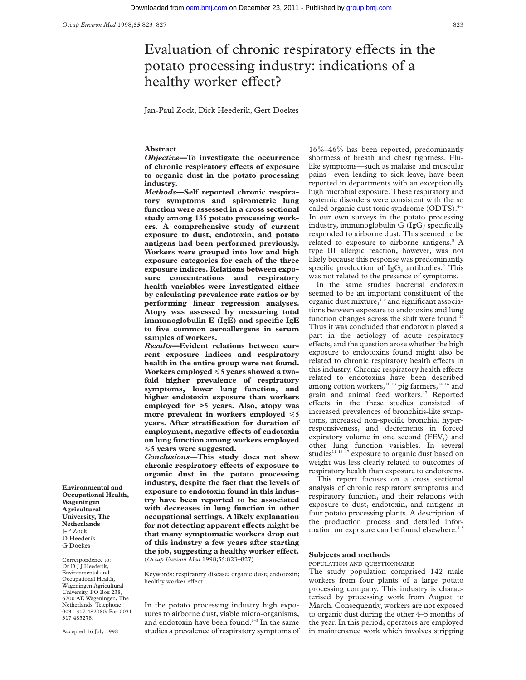# Evaluation of chronic respiratory effects in the potato processing industry: indications of a healthy worker effect?

Jan-Paul Zock, Dick Heederik, Gert Doekes

#### **Abstract**

*Objective—***To investigate the occurrence of chronic respiratory eVects of exposure to organic dust in the potato processing industry.**

*Methods***—Self reported chronic respiratory symptoms and spirometric lung function were assessed in a cross sectional study among 135 potato processing workers. A comprehensive study of current exposure to dust, endotoxin, and potato antigens had been performed previously. Workers were grouped into low and high exposure categories for each of the three exposure indices. Relations between exposure concentrations and respiratory health variables were investigated either by calculating prevalence rate ratios or by performing linear regression analyses. Atopy was assessed by measuring total immunoglobulin E (IgE) and specific IgE to five common aeroallergens in serum samples of workers.**

*Results***—Evident relations between current exposure indices and respiratory health in the entire group were not found. Workers employed** <**5 years showed a twofold higher prevalence of respiratory symptoms, lower lung function, and higher endotoxin exposure than workers employed for >5 years. Also, atopy was more prevalent in workers employed**  $\leq 5$ **years. After stratification for duration of**  $employment, negative effects of endotoxin$ **on lung function among workers employed** <**5 years were suggested.**

*Conclusions***—This study does not show** chronic respiratory effects of exposure to **organic dust in the potato processing industry, despite the fact that the levels of exposure to endotoxin found in this industry have been reported to be associated with decreases in lung function in other occupational settings. A likely explanation** for not detecting apparent effects might be **that many symptomatic workers drop out of this industry a few years after starting the job, suggesting a healthy worker effect.** (*Occup Environ Med* 1998;**55**:823–827)

Keywords: respiratory disease; organic dust; endotoxin; healthy worker effect

In the potato processing industry high exposures to airborne dust, viable micro-organisms, and endotoxin have been found.<sup>1-3</sup> In the same studies a prevalence of respiratory symptoms of 16%–46% has been reported, predominantly shortness of breath and chest tightness. Flulike symptoms—such as malaise and muscular pains—even leading to sick leave, have been reported in departments with an exceptionally high microbial exposure. These respiratory and systemic disorders were consistent with the so called organic dust toxic syndrome (ODTS).<sup>4</sup> In our own surveys in the potato processing industry, immunoglobulin G (IgG) specifically responded to airborne dust. This seemed to be related to exposure to airborne antigens.<sup>8</sup> A type III allergic reaction, however, was not likely because this response was predominantly specific production of  $\text{IgG}_4$  antibodies.<sup>9</sup> This was not related to the presence of symptoms.

In the same studies bacterial endotoxin seemed to be an important constituent of the organic dust mixture,<sup> $23$ </sup> and significant associations between exposure to endotoxins and lung function changes across the shift were found.<sup>10</sup> Thus it was concluded that endotoxin played a part in the aetiology of acute respiratory effects, and the question arose whether the high exposure to endotoxins found might also be related to chronic respiratory health effects in this industry. Chronic respiratory health effects related to endotoxins have been described among cotton workers,<sup>11-13</sup> pig farmers,<sup>14-16</sup> and grain and animal feed workers.<sup>17</sup> Reported effects in the these studies consisted of increased prevalences of bronchitis-like symptoms, increased non-specific bronchial hyperresponsiveness, and decrements in forced expiratory volume in one second  $(FEV_1)$  and other lung function variables. In several studies<sup>11 16 17</sup> exposure to organic dust based on weight was less clearly related to outcomes of respiratory health than exposure to endotoxins.

This report focuses on a cross sectional analysis of chronic respiratory symptoms and respiratory function, and their relations with exposure to dust, endotoxin, and antigens in four potato processing plants. A description of the production process and detailed information on exposure can be found elsewhere.<sup>38</sup>

#### **Subjects and methods**

POPULATION AND QUESTIONNAIRE

The study population comprised 142 male workers from four plants of a large potato processing company. This industry is characterised by processing work from August to March. Consequently, workers are not exposed to organic dust during the other 4–5 months of the year. In this period, operators are employed in maintenance work which involves stripping

**Environmental and Occupational Health, Wageningen Agricultural University, The Netherlands** J-P Zock D Heederik G Doekes

Correspondence to: Dr D J J Heederik, Environmental and Occupational Health, Wageningen Agricultural University, PO Box 238, 6700 AE Wageningen, The Netherlands. Telephone 0031 317 482080; Fax 0031 317 485278.

Accepted 16 July 1998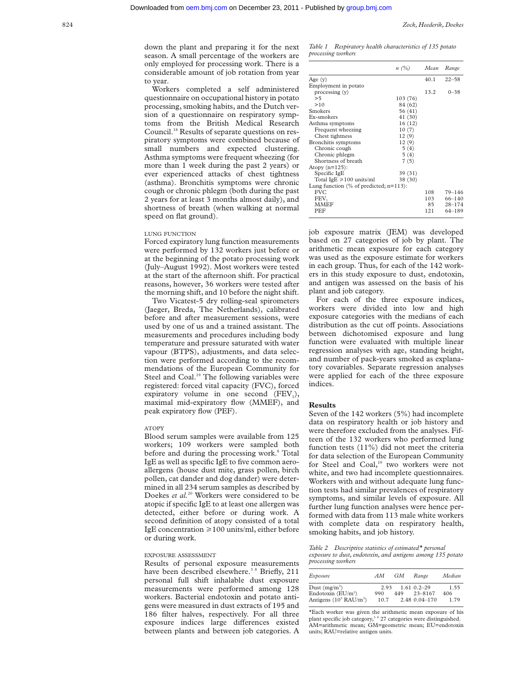down the plant and preparing it for the next season. A small percentage of the workers are only employed for processing work. There is a considerable amount of job rotation from year to year.

Workers completed a self administered questionnaire on occupational history in potato processing, smoking habits, and the Dutch version of a questionnaire on respiratory symptoms from the British Medical Research Council.18 Results of separate questions on respiratory symptoms were combined because of small numbers and expected clustering. Asthma symptoms were frequent wheezing (for more than 1 week during the past 2 years) or ever experienced attacks of chest tightness (asthma). Bronchitis symptoms were chronic cough or chronic phlegm (both during the past 2 years for at least 3 months almost daily), and shortness of breath (when walking at normal speed on flat ground).

#### LUNG FUNCTION

Forced expiratory lung function measurements were performed by 132 workers just before or at the beginning of the potato processing work (July–August 1992). Most workers were tested at the start of the afternoon shift. For practical reasons, however, 36 workers were tested after the morning shift, and 10 before the night shift.

Two Vicatest-5 dry rolling-seal spirometers (Jaeger, Breda, The Netherlands), calibrated before and after measurement sessions, were used by one of us and a trained assistant. The measurements and procedures including body temperature and pressure saturated with water vapour (BTPS), adjustments, and data selection were performed according to the recommendations of the European Community for Steel and Coal.<sup>19</sup> The following variables were registered: forced vital capacity (FVC), forced expiratory volume in one second  $(FEV<sub>1</sub>)$ , maximal mid-expiratory flow (MMEF), and peak expiratory flow (PEF).

#### ATOPY

Blood serum samples were available from 125 workers; 109 workers were sampled both before and during the processing work.<sup>8</sup> Total IgE as well as specific IgE to five common aeroallergens (house dust mite, grass pollen, birch pollen, cat dander and dog dander) were determined in all 234 serum samples as described by Doekes *et al.*<sup>20</sup> Workers were considered to be atopic if specific IgE to at least one allergen was detected, either before or during work. A second definition of atopy consisted of a total IgE concentration  $\geq 100$  units/ml, either before or during work.

#### EXPOSURE ASSESSMENT

Results of personal exposure measurements have been described elsewhere.<sup>38</sup> Briefly, 211 personal full shift inhalable dust exposure measurements were performed among 128 workers. Bacterial endotoxin and potato antigens were measured in dust extracts of 195 and 186 filter halves, respectively. For all three exposure indices large differences existed between plants and between job categories. A

*Table 1 Respiratory health characteristics of 135 potato processing workers*

|                                             | $n(\%)$  | Mean | Range      |
|---------------------------------------------|----------|------|------------|
| Age $(v)$                                   |          | 40.1 | $22 - 58$  |
| Employment in potato                        |          |      |            |
| processing(v)                               |          | 13.2 | $0 - 38$   |
| >5                                          | 103 (76) |      |            |
| >10                                         | 84 (62)  |      |            |
| Smokers                                     | 56 (41)  |      |            |
| Ex-smokers                                  | 41 (30)  |      |            |
| Asthma symptoms                             | 16(12)   |      |            |
| Frequent wheezing                           | 10(7)    |      |            |
| Chest tightness                             | 12(9)    |      |            |
| Bronchitis symptoms                         | 12(9)    |      |            |
| Chronic cough                               | 5(4)     |      |            |
| Chronic phlegm                              | 5(4)     |      |            |
| Shortness of breath                         | 7(5)     |      |            |
| Atopy $(n=125)$ :                           |          |      |            |
| Specific IgE                                | 39 (31)  |      |            |
| Total IgE $\geq 100$ units/ml               | 38 (30)  |      |            |
| Lung function $(\%$ of predicted; $n=113$ : |          |      |            |
| <b>FVC</b>                                  |          | 108  | $79 - 146$ |
| FEV,                                        |          | 103  | 66-140     |
| <b>MMEF</b>                                 |          | 85   | $28 - 174$ |
| PEF                                         |          | 121  | $64 - 189$ |

job exposure matrix (JEM) was developed based on 27 categories of job by plant. The arithmetic mean exposure for each category was used as the exposure estimate for workers in each group. Thus, for each of the 142 workers in this study exposure to dust, endotoxin, and antigen was assessed on the basis of his plant and job category.

For each of the three exposure indices, workers were divided into low and high exposure categories with the medians of each distribution as the cut off points. Associations between dichotomised exposure and lung function were evaluated with multiple linear regression analyses with age, standing height, and number of pack-years smoked as explanatory covariables. Separate regression analyses were applied for each of the three exposure indices.

#### **Results**

Seven of the 142 workers (5%) had incomplete data on respiratory health or job history and were therefore excluded from the analyses. Fifteen of the 132 workers who performed lung function tests (11%) did not meet the criteria for data selection of the European Community for Steel and Coal,<sup>19</sup> two workers were not white, and two had incomplete questionnaires. Workers with and without adequate lung function tests had similar prevalences of respiratory symptoms, and similar levels of exposure. All further lung function analyses were hence performed with data from 113 male white workers with complete data on respiratory health, smoking habits, and job history.

*Table 2 Descriptive statistics of estimated\* personal exposure to dust, endotoxin, and antigens among 135 potato processing workers*

| Exposure                          | AМ   | GМ  | Range             | Median |
|-----------------------------------|------|-----|-------------------|--------|
| Dust $(mg/m^3)$                   | 2.93 |     | $1.61 \t0.2 - 29$ | 1.55   |
| Endotoxin $(EU/m^3)$              | 990  | 449 | $23 - 8167$       | 406    |
| Antigens $(10^3 \text{ RAU/m}^3)$ | 10.7 |     | 2.48 0.04 - 170   | 1 7 9  |

\*Each worker was given the arithmetic mean exposure of his plant specific job category,<sup>3 8</sup> 27 categories were distinguished. AM=arithmetic mean; GM=geometric mean; EU=endotoxin units; RAU=relative antigen units.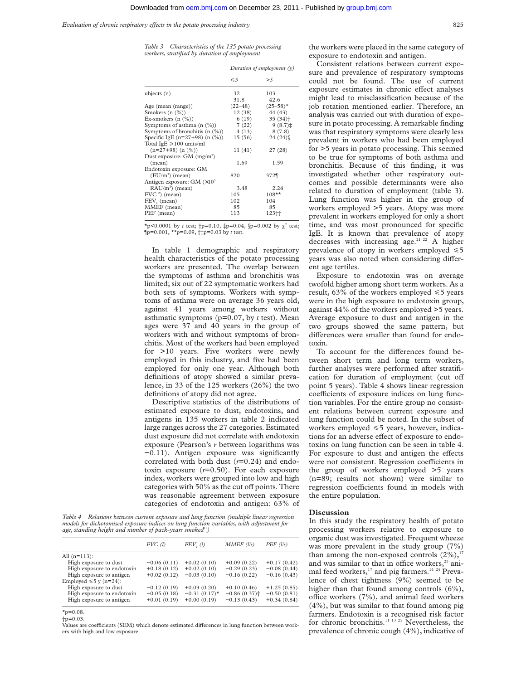*Evaluation of chronic respiratory effects in the potato processing industry* 825

*Table 3 Characteristics of the 135 potato processing workers, stratified by duration of employment*

|                                          | Duration of employment $(v)$ |                       |  |
|------------------------------------------|------------------------------|-----------------------|--|
|                                          | $\leq 5$                     | >5                    |  |
| ubjects $(n)$                            | 32                           | 103                   |  |
|                                          | 31.8                         | 42.6                  |  |
| Age (mean (range))                       | $(22 - 48)$                  | $(25 - 58)^*$         |  |
| Smokers $(n \ (\%)$                      | 12(38)                       | 44 (43)               |  |
| Ex-smokers $(n \ (\%)$                   | 6(19)                        | $35(34)$ <sup>+</sup> |  |
| Symptoms of asthma $(n \ (\%)$           | 7(22)                        | $9(8.7)$ $\ddagger$   |  |
| Symptoms of bronchitis $(n \ (\%)$       | 4(13)                        | 8(7.8)                |  |
| Specific IgE $(n=27+98)$ $(n \ (\%)$     | 15(56)                       | $24(24)\$             |  |
| Total IgE $\geq 100$ units/ml            |                              |                       |  |
| $(n=27+98)$ $(n$ $(\%)$                  | 11(41)                       | 27(28)                |  |
| Dust exposure: $GM$ (mg/m <sup>3</sup> ) |                              |                       |  |
| (mean)                                   | 1.69                         | 1.59                  |  |
| Endotoxin exposure: GM                   |                              |                       |  |
| $(EU/m3)$ (mean)                         | 820                          | 372¶                  |  |
| Antigen exposure: GM $(\times 10^3)$     |                              |                       |  |
| $RAU/m3$ (mean)                          | 3.48                         | 2.24                  |  |
| $FVC2$ (mean)                            | 105                          | $108**$               |  |
| FEV, (mean)                              | 102                          | 104                   |  |
| MMEF (mean)                              | 85                           | 85                    |  |
| PEF (mean)                               | 113                          | 123十                  |  |

\*p<0.0001 by *t* test;  $\uparrow p=0.10$ ,  $\uparrow p=0.04$ ,  $\uparrow p=0.002$  by  $\chi^2$  test;  $\bar{p}=0.001, \pm \bar{p}=0.09, \pm \bar{p}=0.03$  by *t* test.

In table 1 demographic and respiratory health characteristics of the potato processing workers are presented. The overlap between the symptoms of asthma and bronchitis was limited; six out of 22 symptomatic workers had both sets of symptoms. Workers with symptoms of asthma were on average 36 years old, against 41 years among workers without asthmatic symptoms (p=0.07, by *t* test). Mean ages were 37 and 40 years in the group of workers with and without symptoms of bronchitis. Most of the workers had been employed for >10 years. Five workers were newly employed in this industry, and five had been employed for only one year. Although both definitions of atopy showed a similar prevalence, in 33 of the 125 workers (26%) the two definitions of atopy did not agree.

Descriptive statistics of the distributions of estimated exposure to dust, endotoxins, and antigens in 135 workers in table 2 indicated large ranges across the 27 categories. Estimated dust exposure did not correlate with endotoxin exposure (Pearson's *r* between logarithms was −0.11). Antigen exposure was significantly correlated with both dust (*r*=0.24) and endotoxin exposure (*r*=0.50). For each exposure index, workers were grouped into low and high categories with 50% as the cut off points. There was reasonable agreement between exposure categories of endotoxin and antigen: 63% of

*Table 4 Relations between current exposure and lung function (multiple linear regression models for dichotomised exposure indices on lung function variables, with adjustment for age, standing height and number of pack-years smoked17)*

|                             | $FVC$ (l)     | FEV, (1)        | $MMEF$ (l/s)               | $PEF$ (l/s)   |
|-----------------------------|---------------|-----------------|----------------------------|---------------|
| All $(n=113)$ :             |               |                 |                            |               |
| High exposure to dust       | $-0.06(0.11)$ | $+0.02(0.10)$   | $+0.09(0.22)$              | $+0.17(0.42)$ |
| High exposure to endotoxin  | $+0.18(0.12)$ | $+0.02(0.10)$   | $-0.29(0.23)$              | $-0.08(0.44)$ |
| High exposure to antigen    | $+0.02(0.12)$ | $-0.03(0.10)$   | $-0.16(0.22)$              | $-0.16(0.43)$ |
| Employed $\leq 5$ y (n=24): |               |                 |                            |               |
| High exposure to dust       | $-0.12(0.19)$ | $+0.03(0.20)$   | $+0.10(0.46)$              | $+1.25(0.85)$ |
| High exposure to endotoxin  | $-0.05(0.18)$ | $-0.31(0.17)$ * | $-0.86(0.37)$ <sup>+</sup> | $-0.50(0.81)$ |
| High exposure to antigen    | $+0.01(0.19)$ | $+0.00(0.19)$   | $-0.13(0.43)$              | $+0.34(0.84)$ |
|                             |               |                 |                            |               |

 $x_{p=0.08}$ .

†p=0.03.

Values are coefficients (SEM) which denote estimated differences in lung function between workers with high and low exposure.

the workers were placed in the same category of exposure to endotoxin and antigen.

Consistent relations between current exposure and prevalence of respiratory symptoms could not be found. The use of current exposure estimates in chronic effect analyses might lead to misclassification because of the job rotation mentioned earlier. Therefore, an analysis was carried out with duration of exposure in potato processing. A remarkable finding was that respiratory symptoms were clearly less prevalent in workers who had been employed for >5 years in potato processing. This seemed to be true for symptoms of both asthma and bronchitis. Because of this finding, it was investigated whether other respiratory outcomes and possible determinants were also related to duration of employment (table 3). Lung function was higher in the group of workers employed >5 years. Atopy was more prevalent in workers employed for only a short time, and was most pronounced for specific IgE. It is known that prevalence of atopy decreases with increasing age.<sup>21 22</sup> A higher prevalence of atopy in workers employed  $\leq 5$ years was also noted when considering different age tertiles.

Exposure to endotoxin was on average twofold higher among short term workers. As a result, 63% of the workers employed  $\leq 5$  years were in the high exposure to endotoxin group, against 44% of the workers employed >5 years. Average exposure to dust and antigen in the two groups showed the same pattern, but differences were smaller than found for endotoxin.

To account for the differences found between short term and long term workers, further analyses were performed after stratification for duration of employment (cut off point 5 years). Table 4 shows linear regression coefficients of exposure indices on lung function variables. For the entire group no consistent relations between current exposure and lung function could be noted. In the subset of workers employed  $\leq 5$  years, however, indications for an adverse effect of exposure to endotoxins on lung function can be seen in table 4. For exposure to dust and antigen the effects were not consistent. Regression coefficients in the group of workers employed >5 years (n=89; results not shown) were similar to regression coefficients found in models with the entire population.

#### **Discussion**

In this study the respiratory health of potato processing workers relative to exposure to organic dust was investigated. Frequent wheeze was more prevalent in the study group (7%) than among the non-exposed controls  $(2\%)$ ,<sup>17</sup> and was similar to that in office workers,<sup>23</sup> animal feed workers,<sup>17</sup> and pig farmers.<sup>14 24</sup> Prevalence of chest tightness (9%) seemed to be higher than that found among controls  $(6\%)$ , office workers  $(7%)$ , and animal feed workers  $(4\%)$ , but was similar to that found among pig farmers. Endotoxin is a recognised risk factor for chronic bronchitis.<sup>11 13 25</sup> Nevertheless, the prevalence of chronic cough (4%), indicative of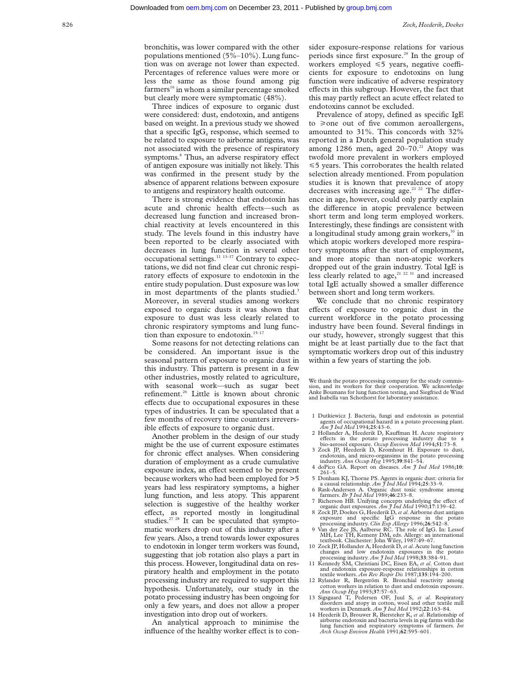bronchitis, was lower compared with the other populations mentioned (5%–10%). Lung function was on average not lower than expected. Percentages of reference values were more or less the same as those found among pig farmers<sup>16</sup> in whom a similar percentage smoked but clearly more were symptomatic (48%).

Three indices of exposure to organic dust were considered: dust, endotoxin, and antigens based on weight. In a previous study we showed that a specific Ig $G_4$  response, which seemed to be related to exposure to airborne antigens, was not associated with the presence of respiratory symptoms.<sup>8</sup> Thus, an adverse respiratory effect of antigen exposure was initially not likely. This was confirmed in the present study by the absence of apparent relations between exposure to antigens and respiratory health outcome.

There is strong evidence that endotoxin has acute and chronic health effects-such as decreased lung function and increased bronchial reactivity at levels encountered in this study. The levels found in this industry have been reported to be clearly associated with decreases in lung function in several other occupational settings.11 13–17 Contrary to expectations, we did not find clear cut chronic respiratory effects of exposure to endotoxin in the entire study population. Dust exposure was low in most departments of the plants studied.<sup>3</sup> Moreover, in several studies among workers exposed to organic dusts it was shown that exposure to dust was less clearly related to chronic respiratory symptoms and lung function than exposure to endotoxin.<sup>15-17</sup>

Some reasons for not detecting relations can be considered. An important issue is the seasonal pattern of exposure to organic dust in this industry. This pattern is present in a few other industries, mostly related to agriculture, with seasonal work—such as sugar beet refinement.<sup>26</sup> Little is known about chronic effects due to occupational exposures in these types of industries. It can be speculated that a few months of recovery time counters irreversible effects of exposure to organic dust.

Another problem in the design of our study might be the use of current exposure estimates for chronic effect analyses. When considering duration of employment as a crude cumulative exposure index, an effect seemed to be present because workers who had been employed for >5 years had less respiratory symptoms, a higher lung function, and less atopy. This apparent selection is suggestive of the healthy worker effect, as reported mostly in longitudinal studies. $27 28$  It can be speculated that symptomatic workers drop out of this industry after a few years. Also, a trend towards lower exposures to endotoxin in longer term workers was found, suggesting that job rotation also plays a part in this process. However, longitudinal data on respiratory health and employment in the potato processing industry are required to support this hypothesis. Unfortunately, our study in the potato processing industry has been ongoing for only a few years, and does not allow a proper investigation into drop out of workers.

An analytical approach to minimise the influence of the healthy worker effect is to consider exposure-response relations for various periods since first exposure.<sup>29</sup> In the group of workers employed  $\leq 5$  years, negative coefficients for exposure to endotoxins on lung function were indicative of adverse respiratory effects in this subgroup. However, the fact that this may partly reflect an acute effect related to endotoxins cannot be excluded.

Prevalence of atopy, defined as specific IgE to  $\geq$  one out of five common aeroallergens, amounted to 31%. This concords with 32% reported in a Dutch general population study among 1286 men, aged  $20-70$ .<sup>21</sup> Atopy was twofold more prevalent in workers employed  $\leq$  5 years. This corroborates the health related selection already mentioned. From population studies it is known that prevalence of atopy decreases with increasing age.<sup>21 22</sup> The difference in age, however, could only partly explain the difference in atopic prevalence between short term and long term employed workers. Interestingly, these findings are consistent with a longitudinal study among grain workers, $30$  in which atopic workers developed more respiratory symptoms after the start of employment, and more atopic than non-atopic workers dropped out of the grain industry. Total IgE is less clearly related to age, $21 22 31$  and increased total IgE actually showed a smaller difference between short and long term workers.

We conclude that no chronic respiratory effects of exposure to organic dust in the current workforce in the potato processing industry have been found. Several findings in our study, however, strongly suggest that this might be at least partially due to the fact that symptomatic workers drop out of this industry within a few years of starting the job.

We thank the potato processing company for the study commission, and its workers for their cooperation. We acknowledge Anke Boumans for lung function testing, and Siegfried de Wind and Isabella van Schothorst for laboratory assistance.

- 1 Dutkiewicz J. Bacteria, fungi and endotoxin as potential agents of occupational hazard in a potato processing plant. *Am J Ind Med* 1994;**25**:43–6.
- 2 Hollander A, Heederik D, Kauffman H. Acute respiratory effects in the potato processing industry due to a bio-aerosol exposure. *Occup Environ Med* 1994;**51**:73–8.
- 3 Zock JP, Heederik D, Kromhout H. Exposure to dust, endotoxin, and micro-organsims in the potato processing industry. *Ann Occup Hyg* 1995;**39**:841–54.
- 4 doPico GA. Report on diseases. *Am J Ind Med* 1986;**10**: 261–5.
- 5 Donham KJ, Thorne PS. Agents in organic dust: criteria for
- a causal relationship. *Am J Ind Med* 1994;**25**:33–9. 6 Rask-Andersen A. Organic dust toxic syndrome among farmers. *Br J Ind Med* 1989;**46**:233–8.
- 7 Richerson HB. Unifying concepts underlying the effect of organic dust exposures. *Am J Ind Med* 1990;**17**:139–42. 8 Zock JP, Doekes G, Heederik D, *et al*. Airborne dust antigen
- 
- exposure and specific IgG response in the potato<br>processing industry. *Clin Exp Allergy* 1996;26:542–8.<br>9 Van der Zee JS, Aalberse RC. The role of IgG. In: Lessof<br>MH, Lee TH, Kemeny DM, eds. Allergy: an international textbook. Chichester: John Wiley, 1987:49–67.
- 10 Zock JP, Hollander A, Heederik D,*et al*. Acute lung function changes and low endotoxin exposures in the potato processing industry. *Am J Ind Med* 1998;**33**:384–91.
- 11 Kennedy SM, Christiani DC, Eisen EA, *et al*. Cotton dust and endotoxin exposure-response relationships in cotton textile workers. *Am Rev Respir Dis* 1987;**135**:194–200.
- 12 Rylander R, Bergström R. Bronchial reactivity among cotton workers in relation to dust and endotoxin exposure. *Ann Occup Hyg* 1993;**37**:57–63.
- 13 Sigsgaard T, Pedersen OF, Juul S, et al. Respirator disorders and atopy in cotton, wool and other textile mill workers in Denmark. *Am J Ind Med* 1992;**22**:163–84. 14 Heederik D, Brouwer R, Biersteker K, *et al*. Relationship of
- airborne endotoxin and bacteria levels in pig farms with the lung function and respiratory symptoms of farmers. *Int Arch Occup Environ Health* 1991;**62**:595–601.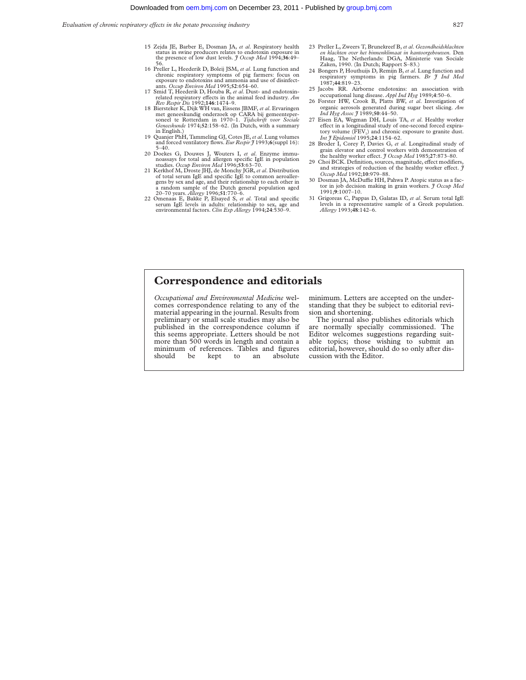- 15 Zejda JE, Barber E, Dosman JA, *et al*. Respiratory health status in swine producers relates to endotoxin exposure in the presence of low dust levels. *J Occup Med* 1994;36:49–
- 16 Preller L, Heederik D, Boleij JSM, *et al*. Lung function and chronic respiratory symptoms of pig farmers: focus on exposure to endotoxins and ammonia and use of disinfect-<br>ants. Occup Environ Med 1995;52:654–60.
- 17 Smid T, Heederik D, Houba R, *et al.* Dust- and endotoxinrelated respiratory effects in the animal feed industry. *Am Rev Respir Dis* 1992;**146**:1474–9.
- 18 Biersteker K, Dijk WH van, Eissens JBMF, *et al*. Ervaringen met geneeskundig onderzoek op CARA bij gemeenteper-soneel te Rotterdam in 1970–1. *Tijdschrift voor Sociale Geneeskunde* 1974;**52**:158–62. (In Dutch, with a summary in English.) 19 Quanjer PhH, Tammeling GJ, Cotes JE,*et al*. Lung volumes
- and forced ventilatory flows. *Eur Respir*  $\hat{J}$  1993;6(suppl 16): 5–40.
- 20 Doekes G, Douwes J, Wouters I, *et al.* Enzyme immunoassays for total and allergen specific IgE in population studies. Occup Environ Med 1996;53:63-70.<br>Studies. Occup Environ Med 1996;53:63-70.<br>21 Kerkhof M, Droste JHJ,
- of total serum IgE and specific IgE to common aeroallergens by sex and age, and their relationship to each other in<br>a random sample of the Dutch general population aged<br>20–70 years. *Allergy* 1996;51:770–6.<br>22 Omenaas E, Bakke P, Elsayed S, *et al.* Total and specific
- serum IgE levels in adults: relationship to sex, age and environmental factors. *Clin Exp Allergy* 1994;**24**:530–9.
- 23 Preller L, Zweers T, Brunekreef B, *et al*. *Gezondheidsklachten en klachten over het binnenklimaat in kantoorgebouwen.* Den Haag, The Netherlands: DGA, Ministerie van Sociale Zaken, 1990. (In Dutch; Rapport S–83.)
- 24 Bongers P, Houthuijs D, Remijn B, *et al*. Lung function and respiratory symptoms in pig farmers. *Br J Ind Med* 1987;**44**:819–23.
- 25 Jacobs RR. Airborne endotoxins: an association with occupational lung disease. *Appl Ind Hyg* 1989;**4**:50–6.
- 26 Forster HW, Crook B, Platts BW, *et al*. Investigation of organic aerosols generated during sugar beet slicing. *Am Ind Hyg Assoc J* 1989;**50**:44–50.
- 27 Eisen EA, Wegman DH, Louis TA, *et al*. Healthy worker effect in a longitudinal study of one-second forced expiratory volume  $(FEV_1)$  and chronic exposure to granite dust. *Int J Epidemiol* 1995;**24**:1154–62.
- 28 Broder I, Corey P, Davies G, *et al*. Longitudinal study of grain elevator and control workers with demonstration of the healthy worker effect.  $\hat{\jmath}$  Occup Med 1985;27:873-80.
- 29 Choi BCK. Definition, sources, magnitude, effect modifiers, and strategies of reduction of the healthy worker effect.  $\hat{\mathcal{J}}$ *Occup Med* 1992;**10**:979–88.
- 30 Dosman JA, McDuffie HH, Pahwa P. Atopic status as a factor in job decision making in grain workers. *J Occup Med* 1991;**9**:1007–10.
- 31 Grigoreas C, Pappas D, Galatas ID, *et al*. Serum total IgE levels in a representative sample of a Greek population. *Allergy* 1993;**48**:142–6.

### **Correspondence and editorials**

*Occupational and Environmental Medicine* welcomes correspondence relating to any of the material appearing in the journal. Results from preliminary or small scale studies may also be published in the correspondence column if this seems appropriate. Letters should be not more than 500 words in length and contain a minimum of references. Tables and figures<br>should be kept to an absolute absolute

minimum. Letters are accepted on the understanding that they be subject to editorial revision and shortening.

The journal also publishes editorials which are normally specially commissioned. The Editor welcomes suggestions regarding suitable topics; those wishing to submit an editorial, however, should do so only after discussion with the Editor.